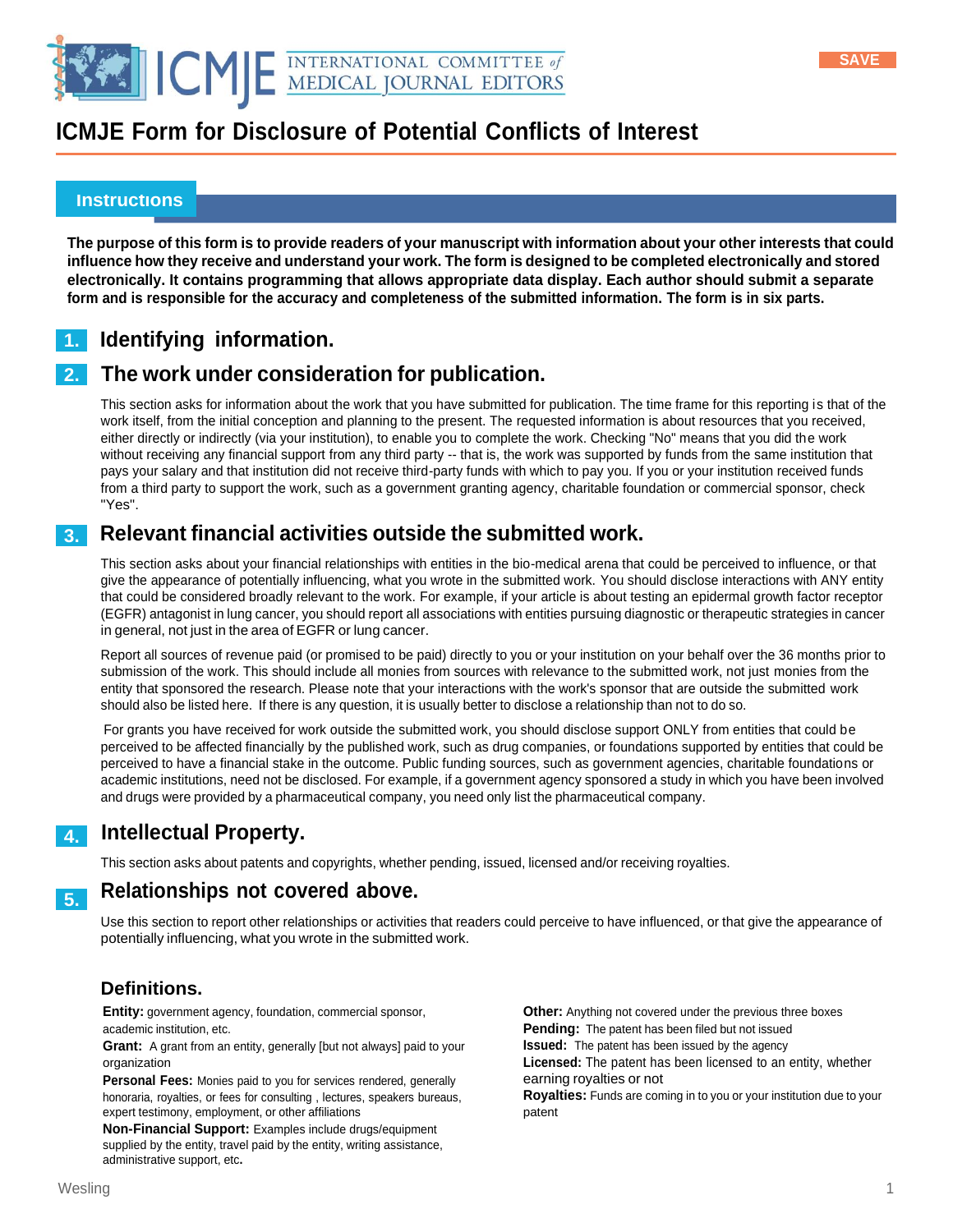

# **ICMJE Form for Disclosure of Potential Conflicts of Interest**

### **Instructions**

The purpose of this form is to provide readers of your manuscript with information about your other interests that could influence how they receive and understand your work. The form is designed to be completed electronically and stored **electronically. It contains programming that allows appropriate data display. Each author should submit a separate** form and is responsible for the accuracy and completeness of the submitted information. The form is in six parts.

#### **1. Identifying information.**

#### **2. The work under consideration for publication.**

This section asks for information about the work that you have submitted for publication. The time frame for this reporting is that of the work itself, from the initial conception and planning to the present. The requested information is about resources that you received, either directly or indirectly (via your institution), to enable you to complete the work. Checking "No" means that you did the work without receiving any financial support from any third party -- that is, the work was supported by funds from the same institution that pays your salary and that institution did not receive third-party funds with which to pay you. If you or your institution received funds from a third party to support the work, such as a government granting agency, charitable foundation or commercial sponsor, check "Yes".

#### **3. Relevant financial activities outside the submitted work.**

This section asks about your financial relationships with entities in the bio-medical arena that could be perceived to influence, or that give the appearance of potentially influencing, what you wrote in the submitted work. You should disclose interactions with ANY entity that could be considered broadly relevant to the work. For example, if your article is about testing an epidermal growth factor receptor (EGFR) antagonist in lung cancer, you should report all associations with entities pursuing diagnostic or therapeutic strategies in cancer in general, not just in the area of EGFR or lung cancer.

Report all sources of revenue paid (or promised to be paid) directly to you or your institution on your behalf over the 36 months prior to submission of the work. This should include all monies from sources with relevance to the submitted work, not just monies from the entity that sponsored the research. Please note that your interactions with the work's sponsor that are outside the submitted work should also be listed here. If there is any question, it is usually better to disclose a relationship than not to do so.

For grants you have received for work outside the submitted work, you should disclose support ONLY from entities that could be perceived to be affected financially by the published work, such as drug companies, or foundations supported by entities that could be perceived to have a financial stake in the outcome. Public funding sources, such as government agencies, charitable foundations or academic institutions, need not be disclosed. For example, if a government agency sponsored a study in which you have been involved and drugs were provided by a pharmaceutical company, you need only list the pharmaceutical company.

#### **4. Intellectual Property.**

This section asks about patents and copyrights, whether pending, issued, licensed and/or receiving royalties.

### **Relationships not covered above.**

Use this section to report other relationships or activities that readers could perceive to have influenced, or that give the appearance of potentially influencing, what you wrote in the submitted work.

### **Definitions.**

**Entity:** government agency, foundation, commercial sponsor, academic institution, etc.

**Grant:** A grant from an entity, generally [but not always] paid to your organization

**Personal Fees:** Monies paid to you for services rendered, generally honoraria, royalties, or fees for consulting , lectures, speakers bureaus, expert testimony, employment, or other affiliations

**Non-Financial Support:** Examples include drugs/equipment supplied by the entity, travel paid by the entity, writing assistance, administrative support, etc**.**

**Other:** Anything not covered under the previous three boxes **Pending:** The patent has been filed but not issued **Issued:** The patent has been issued by the agency **Licensed:** The patent has been licensed to an entity, whether earning royalties or not **Royalties:** Funds are coming in to you or your institution due to your patent

**5.**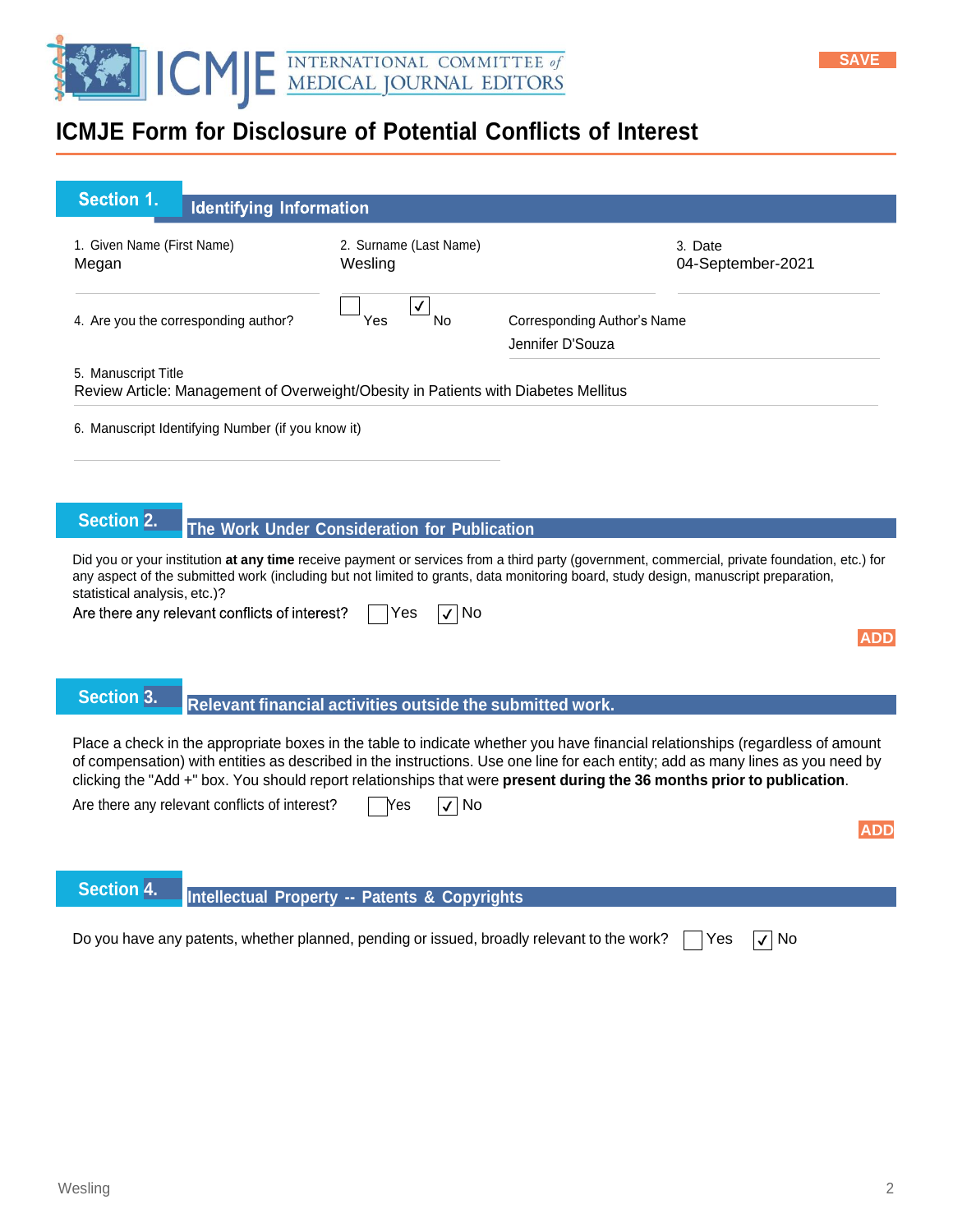

| <b>Section 1.</b><br><b>Identifying Information</b>                                                        |                                                           |                                                                                                                                                                                                                                                                                                                                                                                             |
|------------------------------------------------------------------------------------------------------------|-----------------------------------------------------------|---------------------------------------------------------------------------------------------------------------------------------------------------------------------------------------------------------------------------------------------------------------------------------------------------------------------------------------------------------------------------------------------|
| 1. Given Name (First Name)<br>Megan                                                                        | 2. Surname (Last Name)<br>Wesling                         | 3. Date<br>04-September-2021                                                                                                                                                                                                                                                                                                                                                                |
| 4. Are you the corresponding author?                                                                       | ✓<br><b>No</b><br>Yes                                     | Corresponding Author's Name<br>Jennifer D'Souza                                                                                                                                                                                                                                                                                                                                             |
| 5. Manuscript Title<br>Review Article: Management of Overweight/Obesity in Patients with Diabetes Mellitus |                                                           |                                                                                                                                                                                                                                                                                                                                                                                             |
| 6. Manuscript Identifying Number (if you know it)                                                          |                                                           |                                                                                                                                                                                                                                                                                                                                                                                             |
|                                                                                                            |                                                           |                                                                                                                                                                                                                                                                                                                                                                                             |
| <b>Section 2.</b>                                                                                          | The Work Under Consideration for Publication              |                                                                                                                                                                                                                                                                                                                                                                                             |
| statistical analysis, etc.)?                                                                               |                                                           | Did you or your institution at any time receive payment or services from a third party (government, commercial, private foundation, etc.) for<br>any aspect of the submitted work (including but not limited to grants, data monitoring board, study design, manuscript preparation,                                                                                                        |
| Are there any relevant conflicts of interest?                                                              | No<br>Yes<br>$\mathcal{J}$ $ $                            | ADD                                                                                                                                                                                                                                                                                                                                                                                         |
| <b>Section 3.</b>                                                                                          | Relevant financial activities outside the submitted work. |                                                                                                                                                                                                                                                                                                                                                                                             |
| Are there any relevant conflicts of interest?                                                              | No<br>Yes<br>$\checkmark$                                 | Place a check in the appropriate boxes in the table to indicate whether you have financial relationships (regardless of amount<br>of compensation) with entities as described in the instructions. Use one line for each entity; add as many lines as you need by<br>clicking the "Add +" box. You should report relationships that were present during the 36 months prior to publication. |
|                                                                                                            |                                                           | ADD                                                                                                                                                                                                                                                                                                                                                                                         |
| <b>Section 4.</b>                                                                                          |                                                           |                                                                                                                                                                                                                                                                                                                                                                                             |
|                                                                                                            | Intellectual Property -- Patents & Copyrights             |                                                                                                                                                                                                                                                                                                                                                                                             |

Do you have any patents, whether planned, pending or issued, broadly relevant to the work?  $\Box$  Yes  $\Box$  No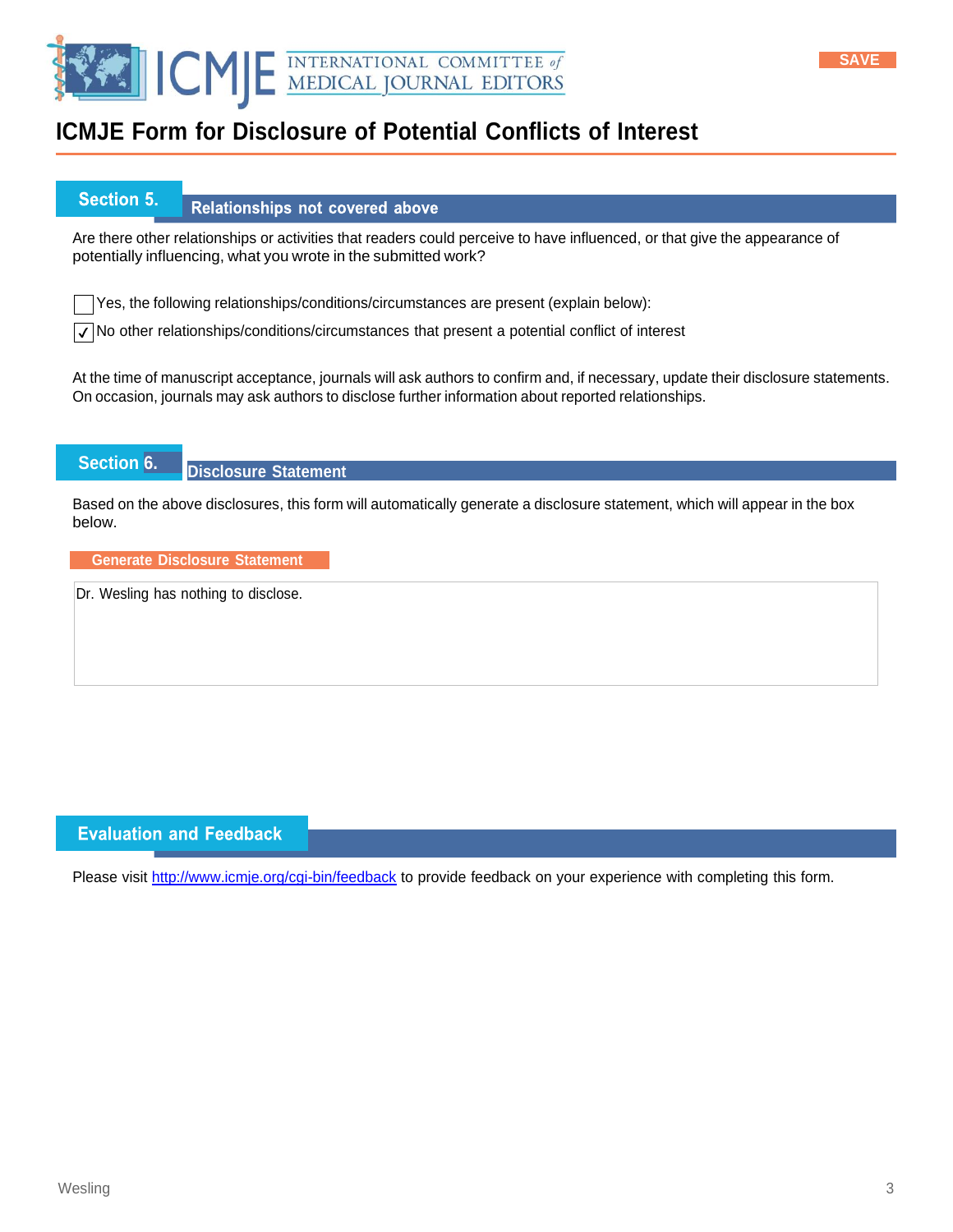

# **ICMJE Form for Disclosure of Potential Conflicts of Interest**

### **Section 5.** Relationships not covered above

Are there other relationships or activities that readers could perceive to have influenced, or that give the appearance of potentially influencing, what you wrote in the submitted work?

Yes, the following relationships/conditions/circumstances are present (explain below):

 $\sqrt{\sqrt{}}$  No other relationships/conditions/circumstances that present a potential conflict of interest

At the time of manuscript acceptance, journals will ask authors to confirm and, if necessary, update their disclosure statements. On occasion, journals may ask authors to disclose further information about reported relationships.

### **Section 6.**

**Disclosure Statement**

Based on the above disclosures, this form will automatically generate a disclosure statement, which will appear in the box below.

**Generate Disclosure Statement**

Dr. Wesling has nothing to disclose.

## **Evaluation and Feedback**

Please visit <http://www.icmje.org/cgi-bin/feedback> to provide feedback on your experience with completing this form.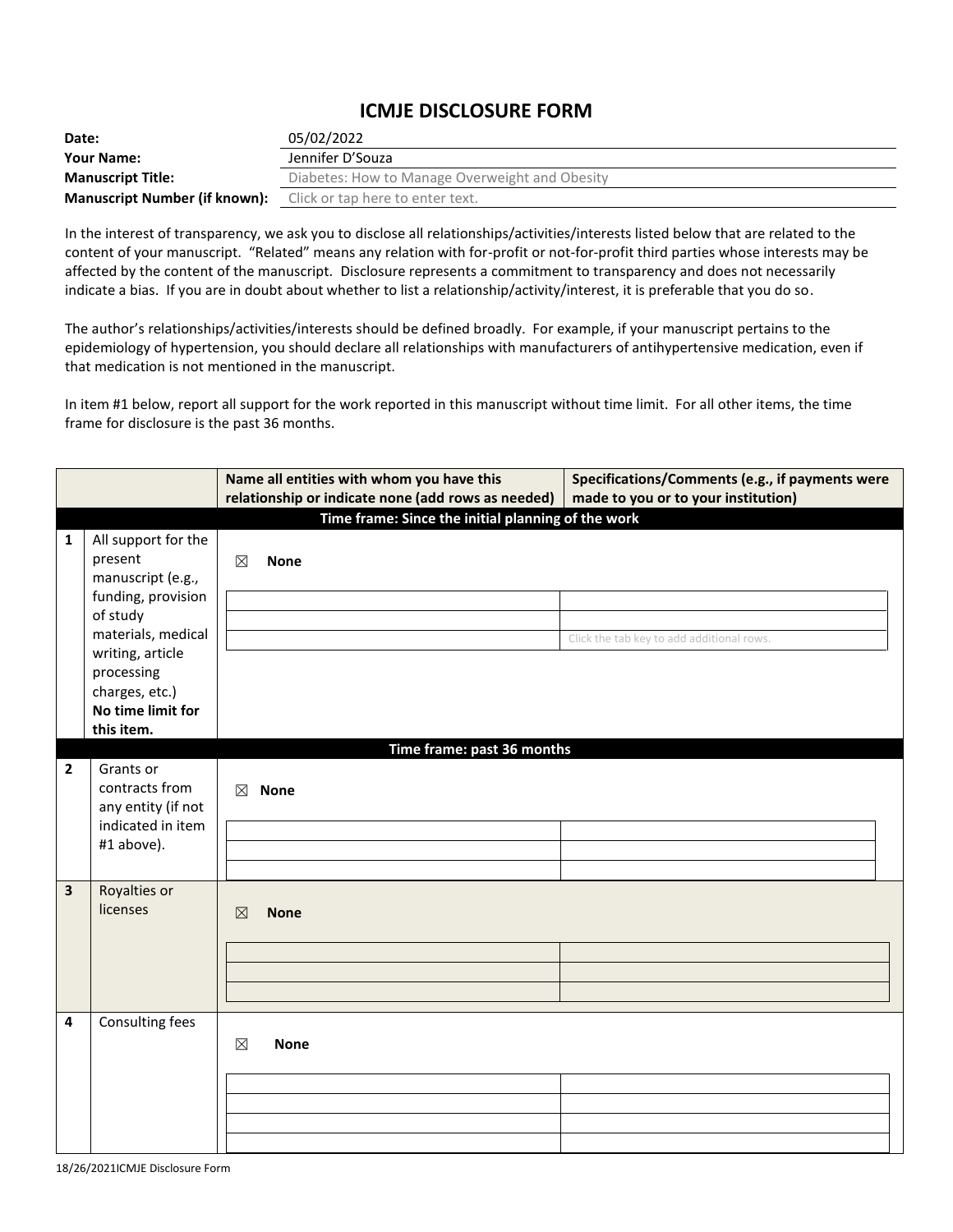## **ICMJE DISCLOSURE FORM**

| Date:                                | 05/02/2022                                     |
|--------------------------------------|------------------------------------------------|
| <b>Your Name:</b>                    | Jennifer D'Souza                               |
| <b>Manuscript Title:</b>             | Diabetes: How to Manage Overweight and Obesity |
| <b>Manuscript Number (if known):</b> | Click or tap here to enter text.               |

In the interest of transparency, we ask you to disclose all relationships/activities/interests listed below that are related to the content of your manuscript. "Related" means any relation with for-profit or not-for-profit third parties whose interests may be affected by the content of the manuscript. Disclosure represents a commitment to transparency and does not necessarily indicate a bias. If you are in doubt about whether to list a relationship/activity/interest, it is preferable that you do so.

The author's relationships/activities/interests should be defined broadly. For example, if your manuscript pertains to the epidemiology of hypertension, you should declare all relationships with manufacturers of antihypertensive medication, even if that medication is not mentioned in the manuscript.

In item #1 below, report all support for the work reported in this manuscript without time limit. For all other items, the time frame for disclosure is the past 36 months.

|                |                                                                                                                                                                                      | Name all entities with whom you have this          | Specifications/Comments (e.g., if payments were |
|----------------|--------------------------------------------------------------------------------------------------------------------------------------------------------------------------------------|----------------------------------------------------|-------------------------------------------------|
|                |                                                                                                                                                                                      | relationship or indicate none (add rows as needed) | made to you or to your institution)             |
|                |                                                                                                                                                                                      | Time frame: Since the initial planning of the work |                                                 |
| $\mathbf{1}$   | All support for the<br>present<br>manuscript (e.g.,<br>funding, provision<br>of study<br>materials, medical<br>writing, article<br>processing<br>charges, etc.)<br>No time limit for | <b>None</b><br>$\boxtimes$                         | Click the tab key to add additional rows.       |
|                | this item.                                                                                                                                                                           |                                                    |                                                 |
| $\mathbf{2}$   | Grants or<br>contracts from<br>any entity (if not<br>indicated in item<br>#1 above).                                                                                                 | Time frame: past 36 months<br><b>None</b><br>⊠     |                                                 |
| $\mathbf{3}$   | Royalties or<br>licenses                                                                                                                                                             | <b>None</b><br>$\nabla$                            |                                                 |
| $\overline{a}$ | Consulting fees                                                                                                                                                                      | <b>None</b><br>$\boxtimes$                         |                                                 |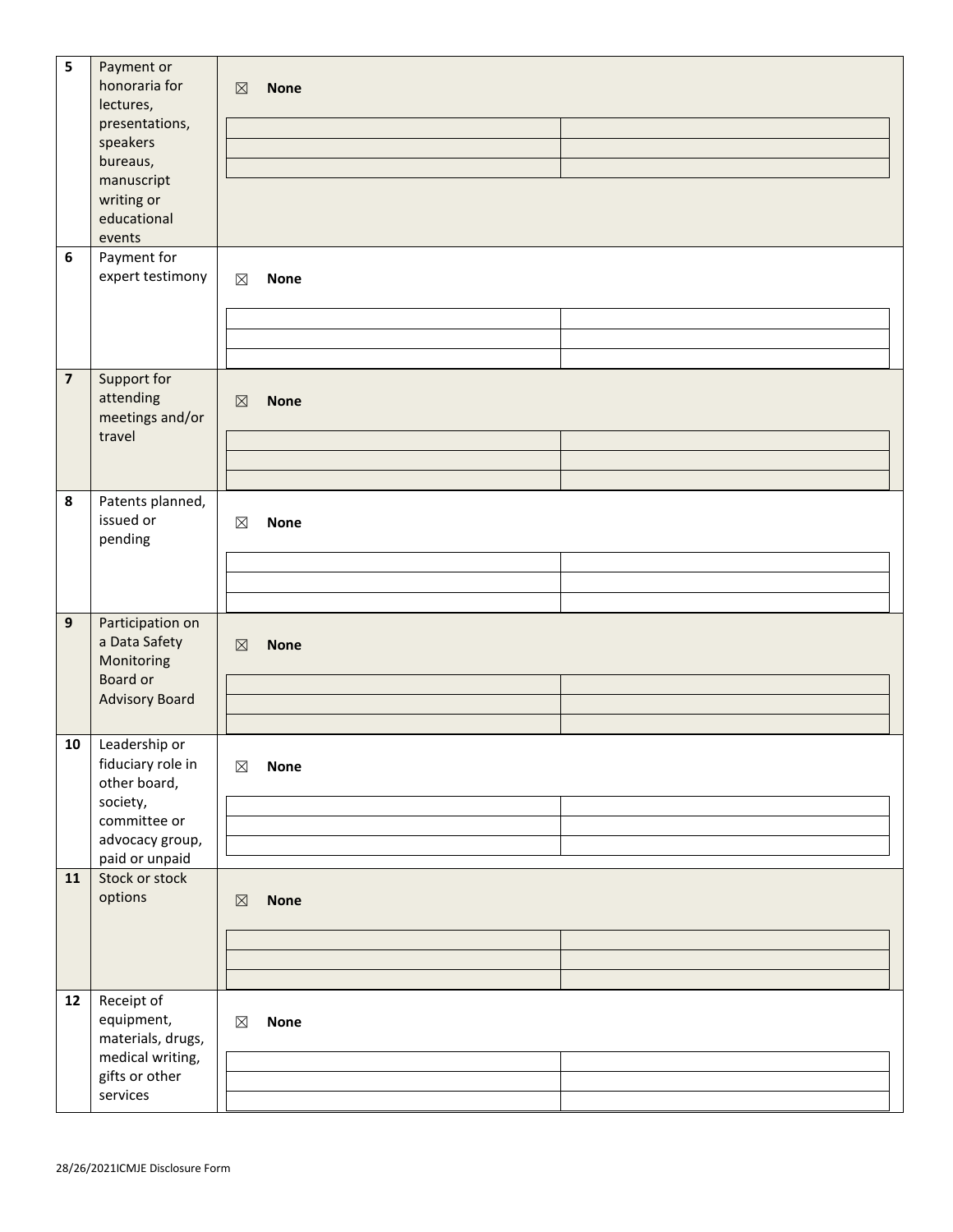| 5                       | Payment or<br>honoraria for<br>lectures,<br>presentations,<br>speakers<br>bureaus,<br>manuscript<br>writing or<br>educational<br>events | <b>None</b><br>$\boxtimes$ |
|-------------------------|-----------------------------------------------------------------------------------------------------------------------------------------|----------------------------|
| $\boldsymbol{6}$        | Payment for<br>expert testimony                                                                                                         | <b>None</b><br>$\boxtimes$ |
| $\overline{\mathbf{z}}$ | Support for<br>attending<br>meetings and/or<br>travel                                                                                   | $\boxtimes$<br><b>None</b> |
| $\pmb{8}$               | Patents planned,<br>issued or<br>pending                                                                                                | <b>None</b><br>$\boxtimes$ |
| $\boldsymbol{9}$        | Participation on<br>a Data Safety<br>Monitoring<br>Board or<br><b>Advisory Board</b>                                                    | $\boxtimes$<br><b>None</b> |
| 10                      | Leadership or<br>fiduciary role in<br>other board,<br>society,<br>committee or<br>advocacy group,<br>paid or unpaid                     | <b>None</b><br>$\boxtimes$ |
| 11                      | Stock or stock<br>options                                                                                                               | $\boxtimes$<br><b>None</b> |
| 12                      | Receipt of<br>equipment,<br>materials, drugs,<br>medical writing,<br>gifts or other<br>services                                         | <b>None</b><br>$\boxtimes$ |